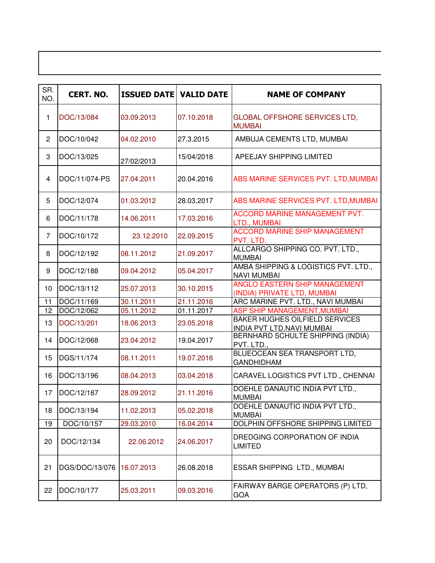| SR.<br>NO.     | <b>CERT. NO.</b> | <b>ISSUED DATE VALID DATE</b> |            | <b>NAME OF COMPANY</b>                                                    |
|----------------|------------------|-------------------------------|------------|---------------------------------------------------------------------------|
| 1              | DOC/13/084       | 03.09.2013                    | 07.10.2018 | <b>GLOBAL OFFSHORE SERVICES LTD,</b><br><b>MUMBAI</b>                     |
| $\overline{c}$ | DOC/10/042       | 04.02.2010                    | 27.3.2015  | AMBUJA CEMENTS LTD, MUMBAI                                                |
| 3              | DOC/13/025       | 27/02/2013                    | 15/04/2018 | APEEJAY SHIPPING LIMITED                                                  |
| $\overline{4}$ | DOC/11/074-PS    | 27.04.2011                    | 20.04.2016 | ABS MARINE SERVICES PVT. LTD, MUMBAI                                      |
| 5              | DOC/12/074       | 01.03.2012                    | 28.03.2017 | ABS MARINE SERVICES PVT. LTD, MUMBAI                                      |
| 6              | DOC/11/178       | 14.06.2011                    | 17.03.2016 | ACCORD MARINE MANAGEMENT PVT.<br>LTD., MUMBAI                             |
| $\overline{7}$ | DOC/10/172       | 23.12.2010                    | 22.09.2015 | <b>ACCORD MARINE SHIP MANAGEMENT</b><br>PVT. LTD.                         |
| 8              | DOC/12/192       | 08.11.2012                    | 21.09.2017 | ALLCARGO SHIPPING CO. PVT. LTD.,<br><b>MUMBAI</b>                         |
| 9              | DOC/12/188       | 09.04.2012                    | 05.04.2017 | AMBA SHIPPING & LOGISTICS PVT. LTD.,<br><b>NAVI MUMBAI</b>                |
| 10             | DOC/13/112       | 25.07.2013                    | 30.10.2015 | ANGLO EASTERN SHIP MANAGEMENT<br>(INDIA) PRIVATE LTD, MUMBAI              |
| 11             | DOC/11/169       | 30.11.2011                    | 21.11.2016 | ARC MARINE PVT. LTD., NAVI MUMBAI                                         |
| 12             | DOC/12/062       | 05.11.2012                    | 01.11.2017 | <b>ASP SHIP MANAGEMENT, MUMBAI</b>                                        |
| 13             | DOC/13/201       | 18.06.2013                    | 23.05.2018 | <b>BAKER HUGHES OILFIELD SERVICES</b><br><b>INDIA PVT LTD.NAVI MUMBAI</b> |
| 14             | DOC/12/068       | 23.04.2012                    | 19.04.2017 | BERNHARD SCHULTE SHIPPING (INDIA)<br>PVT. LTD.,                           |
| 15             | DGS/11/174       | 08.11.2011                    | 19.07.2016 | BLUEOCEAN SEA TRANSPORT LTD,<br><b>GANDHIDHAM</b>                         |
| 16             | DOC/13/196       | 08.04.2013                    | 03.04.2018 | CARAVEL LOGISTICS PVT LTD., CHENNAI                                       |
| 17             | DOC/12/187       | 28.09.2012                    | 21.11.2016 | DOEHLE DANAUTIC INDIA PVT LTD.,<br><b>MUMBAI</b>                          |
| 18             | DOC/13/194       | 11.02.2013                    | 05.02.2018 | DOEHLE DANAUTIC INDIA PVT LTD.,<br><b>MUMBAI</b>                          |
| 19             | DOC/10/157       | 29.03.2010                    | 16.04.2014 | DOLPHIN OFFSHORE SHIPPING LIMITED                                         |
| 20             | DOC/12/134       | 22.06.2012                    | 24.06.2017 | DREDGING CORPORATION OF INDIA<br><b>LIMITED</b>                           |
| 21             | DGS/DOC/13/076   | 16.07.2013                    | 26.08.2018 | ESSAR SHIPPING LTD., MUMBAI                                               |
| 22             | DOC/10/177       | 25.03.2011                    | 09.03.2016 | FAIRWAY BARGE OPERATORS (P) LTD,<br>GOA                                   |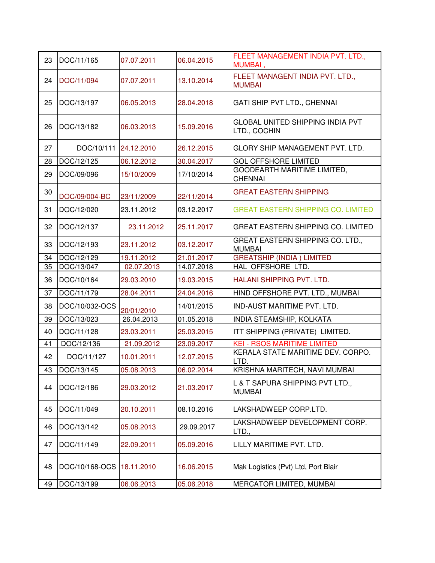| 23 | DOC/11/165            | 07.07.2011 | 06.04.2015 | FLEET MANAGEMENT INDIA PVT. LTD.,<br>MUMBAI,            |
|----|-----------------------|------------|------------|---------------------------------------------------------|
| 24 | DOC/11/094            | 07.07.2011 | 13.10.2014 | FLEET MANAGENT INDIA PVT. LTD.,<br><b>MUMBAI</b>        |
| 25 | DOC/13/197            | 06.05.2013 | 28.04.2018 | GATI SHIP PVT LTD., CHENNAI                             |
| 26 | DOC/13/182            | 06.03.2013 | 15.09.2016 | <b>GLOBAL UNITED SHIPPING INDIA PVT</b><br>LTD., COCHIN |
| 27 | DOC/10/111 24.12.2010 |            | 26.12.2015 | GLORY SHIP MANAGEMENT PVT. LTD.                         |
| 28 | DOC/12/125            | 06.12.2012 | 30.04.2017 | <b>GOL OFFSHORE LIMITED</b>                             |
| 29 | DOC/09/096            | 15/10/2009 | 17/10/2014 | GOODEARTH MARITIME LIMITED,<br><b>CHENNAI</b>           |
| 30 | DOC/09/004-BC         | 23/11/2009 | 22/11/2014 | <b>GREAT EASTERN SHIPPING</b>                           |
| 31 | DOC/12/020            | 23.11.2012 | 03.12.2017 | <b>GREAT EASTERN SHIPPING CO. LIMITED</b>               |
| 32 | DOC/12/137            | 23.11.2012 | 25.11.2017 | <b>GREAT EASTERN SHIPPING CO. LIMITED</b>               |
| 33 | DOC/12/193            | 23.11.2012 | 03.12.2017 | GREAT EASTERN SHIPPING CO. LTD.,<br><b>MUMBAI</b>       |
| 34 | DOC/12/129            | 19.11.2012 | 21.01.2017 | <b>GREATSHIP (INDIA) LIMITED</b>                        |
| 35 | DOC/13/047            | 02.07.2013 | 14.07.2018 | HAL OFFSHORE LTD.                                       |
| 36 | DOC/10/164            | 29.03.2010 | 19.03.2015 | HALANI SHIPPING PVT. LTD.                               |
| 37 | DOC/11/179            | 28.04.2011 | 24.04.2016 | HIND OFFSHORE PVT. LTD., MUMBAI                         |
| 38 | DOC/10/032-OCS        | 20/01/2010 | 14/01/2015 | <b>IND-AUST MARITIME PVT. LTD.</b>                      |
| 39 | DOC/13/023            | 26.04.2013 | 01.05.2018 | INDIA STEAMSHIP, KOLKATA                                |
| 40 | DOC/11/128            | 23.03.2011 | 25.03.2015 | ITT SHIPPING (PRIVATE) LIMITED.                         |
| 41 | DOC/12/136            | 21.09.2012 | 23.09.2017 | <b>KEI - RSOS MARITIME LIMITED</b>                      |
| 42 | DOC/11/127            | 10.01.2011 | 12.07.2015 | KERALA STATE MARITIME DEV. CORPO.<br>LTD.               |
| 43 | DOC/13/145            | 05.08.2013 | 06.02.2014 | KRISHNA MARITECH, NAVI MUMBAI                           |
| 44 | DOC/12/186            | 29.03.2012 | 21.03.2017 | L & T SAPURA SHIPPING PVT LTD.,<br><b>MUMBAI</b>        |
| 45 | DOC/11/049            | 20.10.2011 | 08.10.2016 | LAKSHADWEEP CORP.LTD.                                   |
| 46 | DOC/13/142            | 05.08.2013 | 29.09.2017 | LAKSHADWEEP DEVELOPMENT CORP.<br>LTD.,                  |
| 47 | DOC/11/149            | 22.09.2011 | 05.09.2016 | LILLY MARITIME PVT. LTD.                                |
| 48 | DOC/10/168-OCS        | 18.11.2010 | 16.06.2015 | Mak Logistics (Pvt) Ltd, Port Blair                     |
| 49 | DOC/13/199            | 06.06.2013 | 05.06.2018 | MERCATOR LIMITED, MUMBAI                                |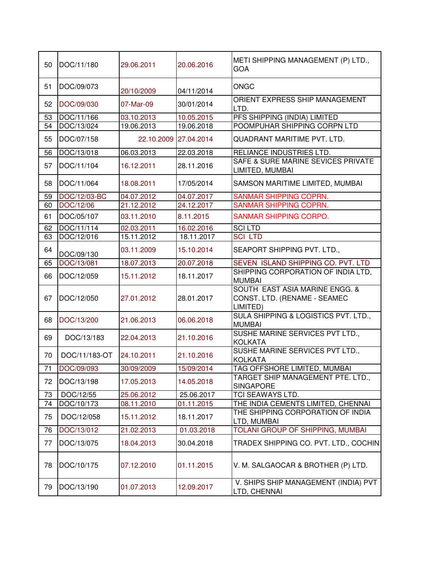| 50 | DOC/11/180    | 29.06.2011 | 20.06.2016            | METI SHIPPING MANAGEMENT (P) LTD.,<br><b>GOA</b>                           |
|----|---------------|------------|-----------------------|----------------------------------------------------------------------------|
| 51 | DOC/09/073    | 20/10/2009 | 04/11/2014            | <b>ONGC</b>                                                                |
| 52 | DOC/09/030    | 07-Mar-09  | 30/01/2014            | <b>ORIENT EXPRESS SHIP MANAGEMENT</b><br>LTD.                              |
| 53 | DOC/11/166    | 03.10.2013 | 10.05.2015            | PFS SHIPPING (INDIA) LIMITED                                               |
| 54 | DOC/13/024    | 19.06.2013 | 19.06.2018            | POOMPUHAR SHIPPING CORPN LTD                                               |
| 55 | DOC/07/158    |            | 22.10.2009 27.04.2014 | QUADRANT MARITIME PVT. LTD.                                                |
| 56 | DOC/13/018    | 06.03.2013 | 22.03.2018            | RELIANCE INDUSTRIES LTD.                                                   |
| 57 | DOC/11/104    | 16.12.2011 | 28.11.2016            | SAFE & SURE MARINE SEVICES PRIVATE<br>LIMITED, MUMBAI                      |
| 58 | DOC/11/064    | 18.08.2011 | 17/05/2014            | SAMSON MARITIME LIMITED, MUMBAI                                            |
| 59 | DOC/12/03-BC  | 04.07.2012 | 04.07.2017            | <b>SANMAR SHIPPING COPRN.</b>                                              |
| 60 | DOC/12/06     | 21.12.2012 | 24.12.2017            | <b>SANMAR SHIPPING COPRN.</b>                                              |
| 61 | DOC/05/107    | 03.11.2010 | 8.11.2015             | SANMAR SHIPPING CORPO.                                                     |
| 62 | DOC/11/114    | 02.03.2011 | 16.02.2016            | <b>SCILTD</b>                                                              |
| 63 | DOC/12/016    | 15.11.2012 | 18.11.2017            | <b>SCILTD</b>                                                              |
| 64 | DOC/09/130    | 03.11.2009 | 15.10.2014            | SEAPORT SHIPPING PVT. LTD.,                                                |
| 65 | DOC/13/081    | 18.07.2013 | 20.07.2018            | SEVEN ISLAND SHIPPING CO. PVT. LTD                                         |
| 66 | DOC/12/059    | 15.11.2012 | 18.11.2017            | SHIPPING CORPORATION OF INDIA LTD,<br><b>MUMBAI</b>                        |
| 67 | DOC/12/050    | 27.01.2012 | 28.01.2017            | SOUTH EAST ASIA MARINE ENGG. &<br>CONST. LTD. (RENAME - SEAMEC<br>LIMITED) |
| 68 | DOC/13/200    | 21.06.2013 | 06.06.2018            | SULA SHIPPING & LOGISTICS PVT. LTD.,<br><b>MUMBAI</b>                      |
| 69 | DOC/13/183    | 22.04.2013 | 21.10.2016            | SUSHE MARINE SERVICES PVT LTD.,<br><b>KOLKATA</b>                          |
| 70 | DOC/11/183-OT | 24.10.2011 | 21.10.2016            | SUSHE MARINE SERVICES PVT LTD.,<br><b>KOLKATA</b>                          |
| 71 | DOC/09/093    | 30/09/2009 | 15/09/2014            | TAG OFFSHORE LIMITED, MUMBAI                                               |
| 72 | DOC/13/198    | 17.05.2013 | 14.05.2018            | TARGET SHIP MANAGEMENT PTE. LTD.,<br><b>SINGAPORE</b>                      |
| 73 | DOC/12/55     | 25.06.2012 | 25.06.2017            | TCI SEAWAYS LTD.                                                           |
| 74 | DOC/10/173    | 08.11.2010 | 01.11.2015            | THE INDIA CEMENTS LIMITED, CHENNAI                                         |
| 75 | DOC/12/058    | 15.11.2012 | 18.11.2017            | THE SHIPPING CORPORATION OF INDIA<br>LTD, MUMBAI                           |
| 76 | DOC/13/012    | 21.02.2013 | 01.03.2018            | TOLANI GROUP OF SHIPPING, MUMBAI                                           |
| 77 | DOC/13/075    | 18.04.2013 | 30.04.2018            | TRADEX SHIPPING CO. PVT. LTD., COCHIN                                      |
| 78 | DOC/10/175    | 07.12.2010 | 01.11.2015            | V. M. SALGAOCAR & BROTHER (P) LTD.                                         |
| 79 | DOC/13/190    | 01.07.2013 | 12.09.2017            | V. SHIPS SHIP MANAGEMENT (INDIA) PVT<br>LTD, CHENNAI                       |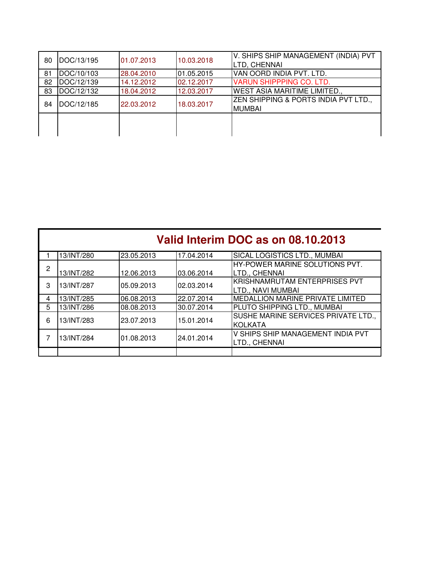| 80 | DOC/13/195 | 01.07.2013 | 10.03.2018 | V. SHIPS SHIP MANAGEMENT (INDIA) PVT<br>LTD, CHENNAI  |
|----|------------|------------|------------|-------------------------------------------------------|
| 81 | DOC/10/103 | 28.04.2010 | 01.05.2015 | VAN OORD INDIA PVT. LTD.                              |
| 82 | DOC/12/139 | 14.12.2012 | 02.12.2017 | <b>VARUN SHIPPPING CO. LTD.</b>                       |
| 83 | DOC/12/132 | 18.04.2012 | 12.03.2017 | <b>WEST ASIA MARITIME LIMITED.,</b>                   |
| 84 | DOC/12/185 | 22.03.2012 | 18.03.2017 | ZEN SHIPPING & PORTS INDIA PVT LTD.,<br><b>MUMBAI</b> |
|    |            |            |            |                                                       |

|   | Valid Interim DOC as on 08.10.2013 |            |            |                                         |
|---|------------------------------------|------------|------------|-----------------------------------------|
|   | 13/INT/280                         | 23.05.2013 | 17.04.2014 | <b>SICAL LOGISTICS LTD., MUMBAI</b>     |
| 2 |                                    |            |            | HY-POWER MARINE SOLUTIONS PVT.          |
|   | 13/INT/282                         | 12.06.2013 | 03.06.2014 | LTD., CHENNAI                           |
| 3 | 13/INT/287                         | 05.09.2013 | 02.03.2014 | KRISHNAMRUTAM ENTERPRISES PVT           |
|   |                                    |            |            | LTD., NAVI MUMBAI                       |
| 4 | 13/INT/285                         | 06.08.2013 | 22.07.2014 | <b>MEDALLION MARINE PRIVATE LIMITED</b> |
| 5 | 13/INT/286                         | 08.08.2013 | 30.07.2014 | PLUTO SHIPPING LTD., MUMBAI             |
| 6 | 13/INT/283                         | 23.07.2013 | 15.01.2014 | SUSHE MARINE SERVICES PRIVATE LTD.,     |
|   |                                    |            |            | <b>KOLKATA</b>                          |
|   |                                    |            |            | V SHIPS SHIP MANAGEMENT INDIA PVT       |
|   | 13/INT/284                         | 01.08.2013 | 24.01.2014 | LTD., CHENNAI                           |
|   |                                    |            |            |                                         |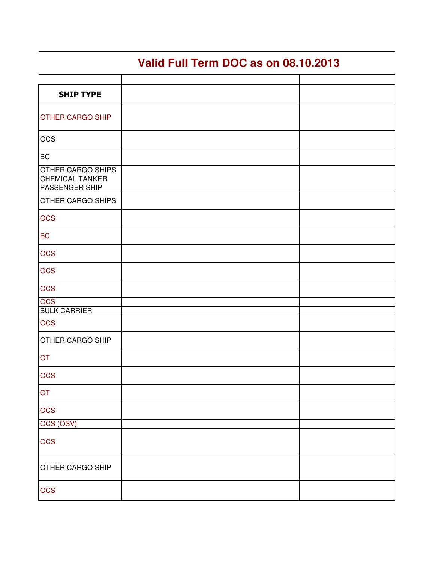## **Valid Full Term DOC as on 08.10.2013**

| <b>SHIP TYPE</b>                                                     |  |
|----------------------------------------------------------------------|--|
| <b>OTHER CARGO SHIP</b>                                              |  |
| <b>OCS</b>                                                           |  |
| <b>BC</b>                                                            |  |
| <b>OTHER CARGO SHIPS</b><br><b>CHEMICAL TANKER</b><br>PASSENGER SHIP |  |
| <b>OTHER CARGO SHIPS</b>                                             |  |
| <b>OCS</b>                                                           |  |
| <b>BC</b>                                                            |  |
| <b>OCS</b>                                                           |  |
| <b>OCS</b>                                                           |  |
| <b>OCS</b>                                                           |  |
| <b>OCS</b>                                                           |  |
| <b>BULK CARRIER</b>                                                  |  |
| <b>OCS</b>                                                           |  |
| OTHER CARGO SHIP                                                     |  |
| <b>OT</b>                                                            |  |
| <b>OCS</b>                                                           |  |
| OT                                                                   |  |
| <b>OCS</b>                                                           |  |
| OCS (OSV)                                                            |  |
| <b>OCS</b>                                                           |  |
| <b>OTHER CARGO SHIP</b>                                              |  |
| <b>OCS</b>                                                           |  |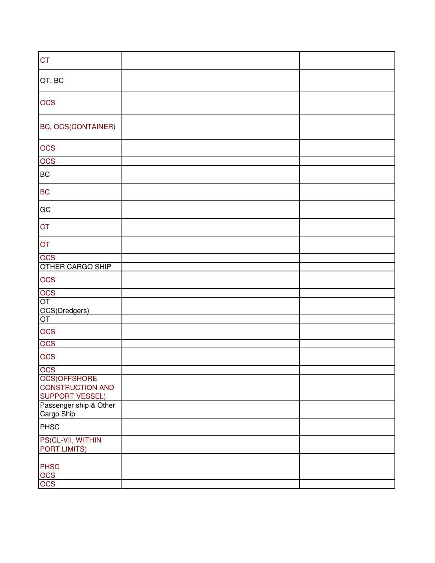| <b>CT</b>                                         |  |
|---------------------------------------------------|--|
| OT, BC                                            |  |
| <b>OCS</b>                                        |  |
| BC, OCS(CONTAINER)                                |  |
| <b>OCS</b>                                        |  |
| OCS                                               |  |
| <b>BC</b>                                         |  |
| <b>BC</b>                                         |  |
| GC                                                |  |
| <b>CT</b>                                         |  |
| OT                                                |  |
| <b>OCS</b>                                        |  |
| OTHER CARGO SHIP                                  |  |
| <b>OCS</b>                                        |  |
| OCS<br>OT                                         |  |
| OCS(Dredgers)<br>OT                               |  |
|                                                   |  |
| <b>OCS</b>                                        |  |
| <b>OCS</b>                                        |  |
| <b>OCS</b>                                        |  |
| OCS<br>OCS(OFFSHORE                               |  |
| <b>CONSTRUCTION AND</b><br><b>SUPPORT VESSEL)</b> |  |
| Passenger ship & Other<br>Cargo Ship              |  |
| PHSC                                              |  |
| PS(CL-VII, WITHIN<br><b>PORT LIMITS)</b>          |  |
| <b>PHSC</b><br><b>OCS</b><br><b>OCS</b>           |  |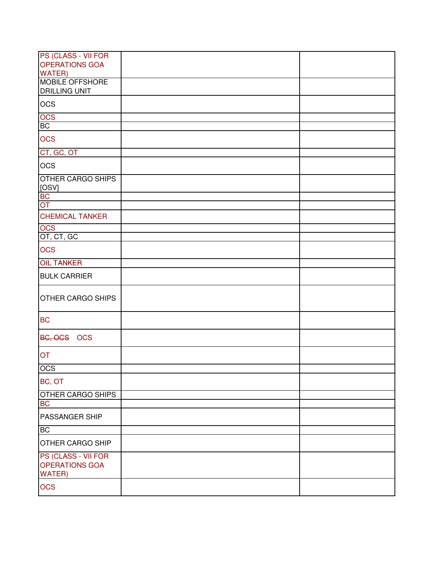| PS (CLASS - VII FOR                                    |  |
|--------------------------------------------------------|--|
| <b>OPERATIONS GOA</b><br><b>WATER)</b>                 |  |
| <b>MOBILE OFFSHORE</b>                                 |  |
| <b>DRILLING UNIT</b>                                   |  |
| <b>OCS</b>                                             |  |
| <b>OCS</b>                                             |  |
| <b>BC</b>                                              |  |
| <b>OCS</b>                                             |  |
| CT, GC, OT                                             |  |
| <b>OCS</b>                                             |  |
| <b>OTHER CARGO SHIPS</b><br>[OSV]                      |  |
| BC<br>OT                                               |  |
|                                                        |  |
| <b>CHEMICAL TANKER</b>                                 |  |
| OCS<br>OT, CT, GC                                      |  |
|                                                        |  |
| <b>OCS</b>                                             |  |
| <b>OIL TANKER</b>                                      |  |
| <b>BULK CARRIER</b>                                    |  |
| <b>OTHER CARGO SHIPS</b>                               |  |
| <b>BC</b>                                              |  |
| BC, OCS OCS                                            |  |
| <b>OT</b>                                              |  |
| OCS                                                    |  |
| BC, OT                                                 |  |
| OTHER CARGO SHIPS                                      |  |
| <b>BC</b>                                              |  |
| PASSANGER SHIP                                         |  |
| <b>BC</b>                                              |  |
| OTHER CARGO SHIP                                       |  |
| PS (CLASS - VII FOR<br>OPERATIONS GOA<br><b>WATER)</b> |  |
| <b>OCS</b>                                             |  |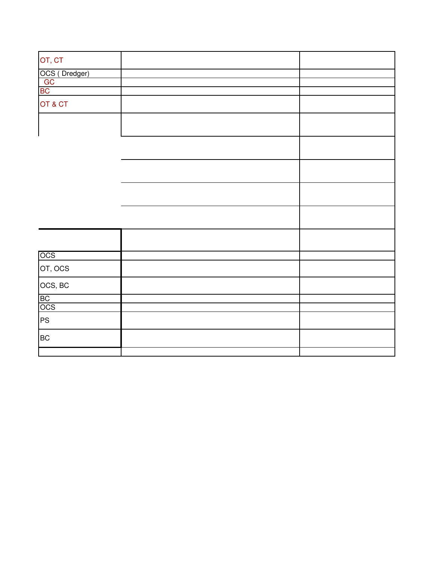| OT, CT                    |  |
|---------------------------|--|
| OCS (Dredger)<br>GC<br>BC |  |
|                           |  |
|                           |  |
| OT & CT                   |  |
|                           |  |
|                           |  |
|                           |  |
|                           |  |
|                           |  |
|                           |  |
| OCS                       |  |
| OT, OCS                   |  |
| OCS, BC                   |  |
|                           |  |
| BC<br>OCS                 |  |
| <b>PS</b>                 |  |
| <b>BC</b>                 |  |
|                           |  |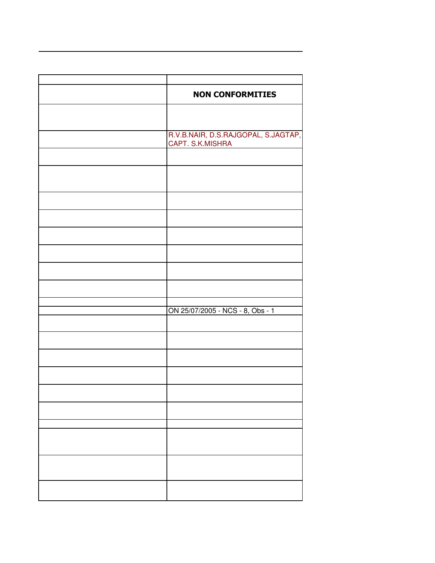| <b>NON CONFORMITIES</b>             |
|-------------------------------------|
|                                     |
| R.V.B.NAIR, D.S.RAJGOPAL, S.JAGTAP, |
| CAPT. S.K.MISHRA                    |
|                                     |
|                                     |
|                                     |
|                                     |
|                                     |
|                                     |
|                                     |
|                                     |
| ON 25/07/2005 - NCS - 8, Obs - 1    |
|                                     |
|                                     |
|                                     |
|                                     |
|                                     |
|                                     |
|                                     |
|                                     |
|                                     |
|                                     |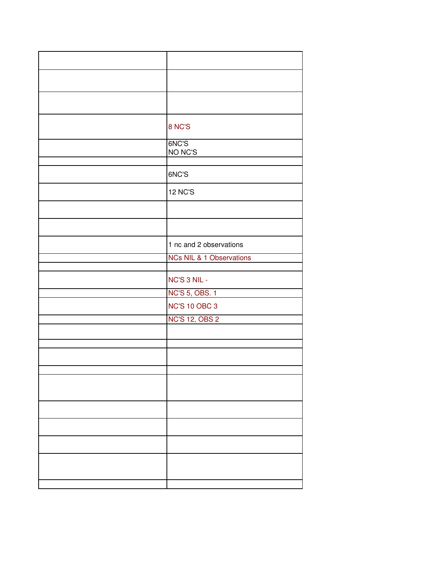| 8 NC'S                              |
|-------------------------------------|
| 6NC'S                               |
| NO NC'S                             |
| 6NC'S                               |
| <b>12 NC'S</b>                      |
|                                     |
|                                     |
| 1 nc and 2 observations             |
| <b>NCs NIL &amp; 1 Observations</b> |
| NC'S 3 NIL -                        |
| <b>NC'S 5, OBS. 1</b>               |
| <b>NC'S 10 OBC 3</b>                |
| <b>NC'S 12, OBS 2</b>               |
|                                     |
|                                     |
|                                     |
|                                     |
|                                     |
|                                     |
|                                     |
|                                     |
|                                     |
|                                     |
|                                     |
|                                     |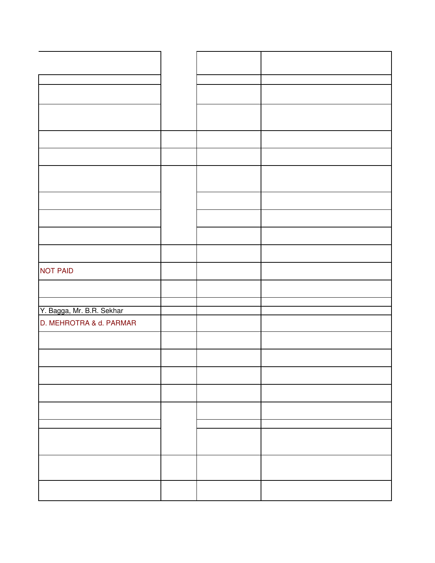| <b>NOT PAID</b>           |  |  |
|---------------------------|--|--|
|                           |  |  |
|                           |  |  |
| Y. Bagga, Mr. B.R. Sekhar |  |  |
| D. MEHROTRA & d. PARMAR   |  |  |
|                           |  |  |
|                           |  |  |
|                           |  |  |
|                           |  |  |
|                           |  |  |
|                           |  |  |
|                           |  |  |
|                           |  |  |
|                           |  |  |
|                           |  |  |
|                           |  |  |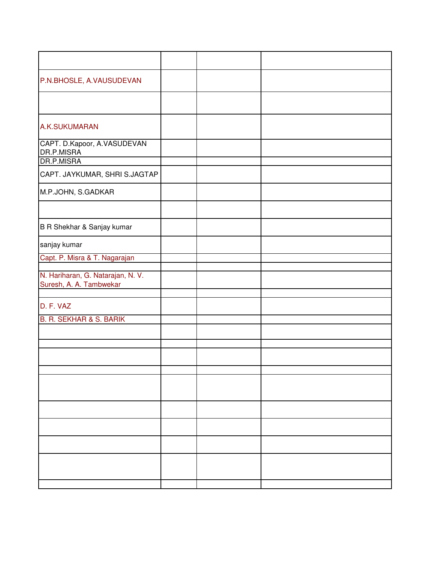| P.N.BHOSLE, A.VAUSUDEVAN                                     |  |  |
|--------------------------------------------------------------|--|--|
|                                                              |  |  |
| A.K.SUKUMARAN                                                |  |  |
| CAPT. D.Kapoor, A.VASUDEVAN<br>DR.P.MISRA                    |  |  |
| DR.P.MISRA                                                   |  |  |
| CAPT. JAYKUMAR, SHRI S.JAGTAP                                |  |  |
| M.P.JOHN, S.GADKAR                                           |  |  |
|                                                              |  |  |
| B R Shekhar & Sanjay kumar                                   |  |  |
| sanjay kumar                                                 |  |  |
| Capt. P. Misra & T. Nagarajan                                |  |  |
|                                                              |  |  |
| N. Hariharan, G. Natarajan, N. V.<br>Suresh, A. A. Tambwekar |  |  |
|                                                              |  |  |
| D. F. VAZ                                                    |  |  |
| <b>B. R. SEKHAR &amp; S. BARIK</b>                           |  |  |
|                                                              |  |  |
|                                                              |  |  |
|                                                              |  |  |
|                                                              |  |  |
|                                                              |  |  |
|                                                              |  |  |
|                                                              |  |  |
|                                                              |  |  |
|                                                              |  |  |
|                                                              |  |  |
|                                                              |  |  |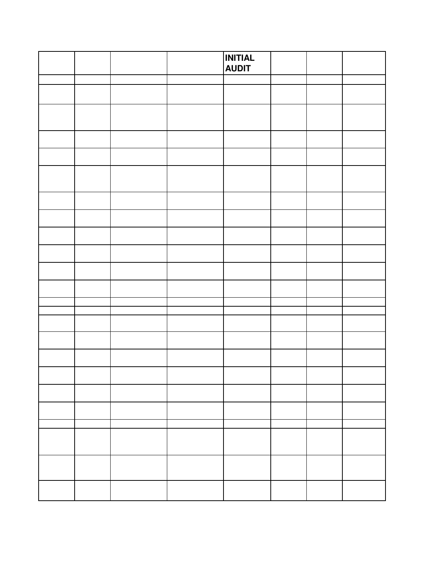|  |  | <b>INITIAL</b><br><b>AUDIT</b> |  |  |
|--|--|--------------------------------|--|--|
|  |  |                                |  |  |
|  |  |                                |  |  |
|  |  |                                |  |  |
|  |  |                                |  |  |
|  |  |                                |  |  |
|  |  |                                |  |  |
|  |  |                                |  |  |
|  |  |                                |  |  |
|  |  |                                |  |  |
|  |  |                                |  |  |
|  |  |                                |  |  |
|  |  |                                |  |  |
|  |  |                                |  |  |
|  |  |                                |  |  |
|  |  |                                |  |  |
|  |  |                                |  |  |
|  |  |                                |  |  |
|  |  |                                |  |  |
|  |  |                                |  |  |
|  |  |                                |  |  |
|  |  |                                |  |  |
|  |  |                                |  |  |
|  |  |                                |  |  |
|  |  |                                |  |  |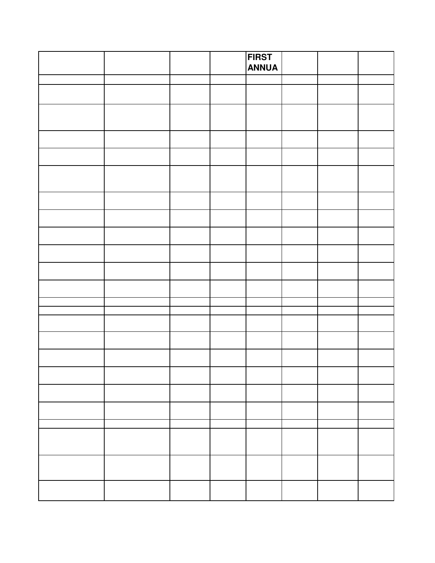|  |  | <b>FIRST</b><br><b>ANNUA</b> |  |  |
|--|--|------------------------------|--|--|
|  |  |                              |  |  |
|  |  |                              |  |  |
|  |  |                              |  |  |
|  |  |                              |  |  |
|  |  |                              |  |  |
|  |  |                              |  |  |
|  |  |                              |  |  |
|  |  |                              |  |  |
|  |  |                              |  |  |
|  |  |                              |  |  |
|  |  |                              |  |  |
|  |  |                              |  |  |
|  |  |                              |  |  |
|  |  |                              |  |  |
|  |  |                              |  |  |
|  |  |                              |  |  |
|  |  |                              |  |  |
|  |  |                              |  |  |
|  |  |                              |  |  |
|  |  |                              |  |  |
|  |  |                              |  |  |
|  |  |                              |  |  |
|  |  |                              |  |  |
|  |  |                              |  |  |
|  |  |                              |  |  |
|  |  |                              |  |  |
|  |  |                              |  |  |
|  |  |                              |  |  |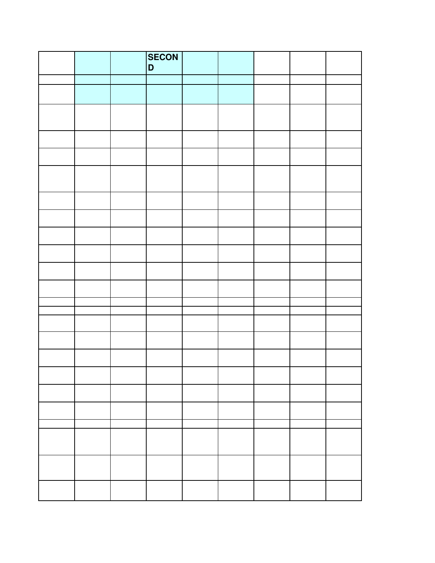|  | <b>SECON</b><br>D |  |  |  |
|--|-------------------|--|--|--|
|  |                   |  |  |  |
|  |                   |  |  |  |
|  |                   |  |  |  |
|  |                   |  |  |  |
|  |                   |  |  |  |
|  |                   |  |  |  |
|  |                   |  |  |  |
|  |                   |  |  |  |
|  |                   |  |  |  |
|  |                   |  |  |  |
|  |                   |  |  |  |
|  |                   |  |  |  |
|  |                   |  |  |  |
|  |                   |  |  |  |
|  |                   |  |  |  |
|  |                   |  |  |  |
|  |                   |  |  |  |
|  |                   |  |  |  |
|  |                   |  |  |  |
|  |                   |  |  |  |
|  |                   |  |  |  |
|  |                   |  |  |  |
|  |                   |  |  |  |
|  |                   |  |  |  |